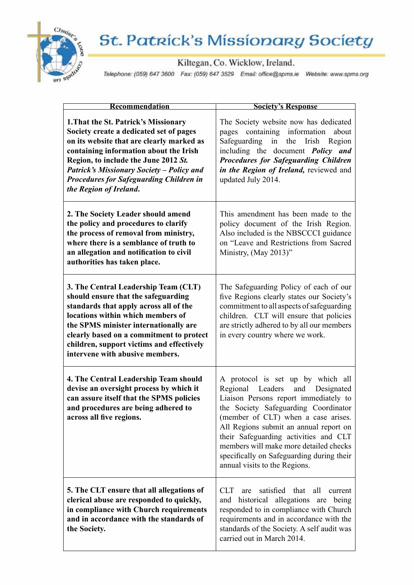

## **St. Patrick's Missionary Society**

Kiltegan, Co. Wicklow, Ireland.

Telephone: (059) 647 3600 Fax: (059) 647 3529 Email: office@spms.ie Website: www.spms.org

| Recommendation                                                                                                                                                                                                                                                                                                                                 | <b>Society's Response</b>                                                                                                                                                                                                                                                                                                                                                                                        |
|------------------------------------------------------------------------------------------------------------------------------------------------------------------------------------------------------------------------------------------------------------------------------------------------------------------------------------------------|------------------------------------------------------------------------------------------------------------------------------------------------------------------------------------------------------------------------------------------------------------------------------------------------------------------------------------------------------------------------------------------------------------------|
| 1. That the St. Patrick's Missionary<br>Society create a dedicated set of pages<br>on its website that are clearly marked as<br>containing information about the Irish<br>Region, to include the June 2012 St.<br><b>Patrick's Missionary Society - Policy and</b><br><b>Procedures for Safeguarding Children in</b><br>the Region of Ireland. | The Society website now has dedicated<br>containing information<br>pages<br>about<br>Safeguarding in the Irish Region<br>including the document <i>Policy</i> and<br><b>Procedures for Safeguarding Children</b><br>in the Region of Ireland, reviewed and<br>updated July 2014.                                                                                                                                 |
| 2. The Society Leader should amend<br>the policy and procedures to clarify<br>the process of removal from ministry,<br>where there is a semblance of truth to<br>an allegation and notification to civil<br>authorities has taken place.                                                                                                       | This amendment has been made to the<br>policy document of the Irish Region.<br>Also included is the NBSCCCI guidance<br>on "Leave and Restrictions from Sacred<br>Ministry, (May 2013)"                                                                                                                                                                                                                          |
| 3. The Central Leadership Team (CLT)<br>should ensure that the safeguarding<br>standards that apply across all of the<br>locations within which members of<br>the SPMS minister internationally are<br>clearly based on a commitment to protect<br>children, support victims and effectively<br>intervene with abusive members.                | The Safeguarding Policy of each of our<br>five Regions clearly states our Society's<br>commitment to all aspects of safeguarding<br>children. CLT will ensure that policies<br>are strictly adhered to by all our members<br>in every country where we work.                                                                                                                                                     |
| 4. The Central Leadership Team should<br>devise an oversight process by which it<br>can assure itself that the SPMS policies<br>and procedures are being adhered to<br>across all five regions.                                                                                                                                                | A protocol is set up by which all<br>Regional<br>Leaders<br>Designated<br>and<br>Liaison Persons report immediately to<br>the Society Safeguarding Coordinator<br>(member of CLT) when a case arises.<br>All Regions submit an annual report on<br>their Safeguarding activities and CLT<br>members will make more detailed checks<br>specifically on Safeguarding during their<br>annual visits to the Regions. |
| 5. The CLT ensure that all allegations of<br>clerical abuse are responded to quickly,<br>in compliance with Church requirements<br>and in accordance with the standards of<br>the Society.                                                                                                                                                     | satisfied that<br>CLT.<br>all<br>are<br>current<br>historical allegations<br>being<br>and<br>are<br>responded to in compliance with Church<br>requirements and in accordance with the<br>standards of the Society. A self audit was<br>carried out in March 2014.                                                                                                                                                |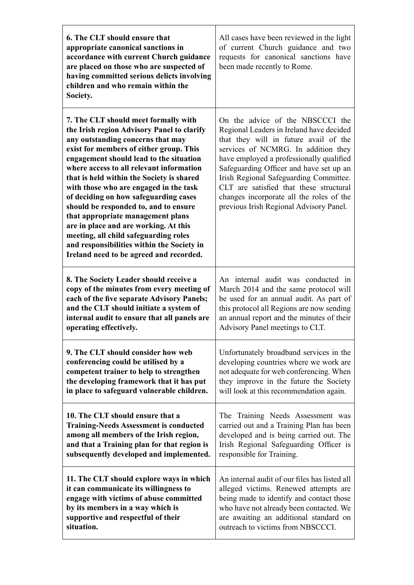| 6. The CLT should ensure that<br>appropriate canonical sanctions in<br>accordance with current Church guidance<br>are placed on those who are suspected of<br>having committed serious delicts involving<br>children and who remain within the<br>Society.                                                                                                                                                                                                                                                                                                                                                                                         | All cases have been reviewed in the light<br>of current Church guidance and two<br>requests for canonical sanctions have<br>been made recently to Rome.                                                                                                                                                                                                                                                                         |
|----------------------------------------------------------------------------------------------------------------------------------------------------------------------------------------------------------------------------------------------------------------------------------------------------------------------------------------------------------------------------------------------------------------------------------------------------------------------------------------------------------------------------------------------------------------------------------------------------------------------------------------------------|---------------------------------------------------------------------------------------------------------------------------------------------------------------------------------------------------------------------------------------------------------------------------------------------------------------------------------------------------------------------------------------------------------------------------------|
| 7. The CLT should meet formally with<br>the Irish region Advisory Panel to clarify<br>any outstanding concerns that may<br>exist for members of either group. This<br>engagement should lead to the situation<br>where access to all relevant information<br>that is held within the Society is shared<br>with those who are engaged in the task<br>of deciding on how safeguarding cases<br>should be responded to, and to ensure<br>that appropriate management plans<br>are in place and are working. At this<br>meeting, all child safeguarding roles<br>and responsibilities within the Society in<br>Ireland need to be agreed and recorded. | On the advice of the NBSCCCI the<br>Regional Leaders in Ireland have decided<br>that they will in future avail of the<br>services of NCMRG. In addition they<br>have employed a professionally qualified<br>Safeguarding Officer and have set up an<br>Irish Regional Safeguarding Committee.<br>CLT are satisfied that these structural<br>changes incorporate all the roles of the<br>previous Irish Regional Advisory Panel. |
| 8. The Society Leader should receive a                                                                                                                                                                                                                                                                                                                                                                                                                                                                                                                                                                                                             | An internal audit was conducted in                                                                                                                                                                                                                                                                                                                                                                                              |
| copy of the minutes from every meeting of                                                                                                                                                                                                                                                                                                                                                                                                                                                                                                                                                                                                          | March 2014 and the same protocol will                                                                                                                                                                                                                                                                                                                                                                                           |
| each of the five separate Advisory Panels;                                                                                                                                                                                                                                                                                                                                                                                                                                                                                                                                                                                                         | be used for an annual audit. As part of                                                                                                                                                                                                                                                                                                                                                                                         |
| and the CLT should initiate a system of                                                                                                                                                                                                                                                                                                                                                                                                                                                                                                                                                                                                            | this protocol all Regions are now sending                                                                                                                                                                                                                                                                                                                                                                                       |
| internal audit to ensure that all panels are                                                                                                                                                                                                                                                                                                                                                                                                                                                                                                                                                                                                       | an annual report and the minutes of their                                                                                                                                                                                                                                                                                                                                                                                       |
| operating effectively.                                                                                                                                                                                                                                                                                                                                                                                                                                                                                                                                                                                                                             | Advisory Panel meetings to CLT.                                                                                                                                                                                                                                                                                                                                                                                                 |
| 9. The CLT should consider how web                                                                                                                                                                                                                                                                                                                                                                                                                                                                                                                                                                                                                 | Unfortunately broadband services in the                                                                                                                                                                                                                                                                                                                                                                                         |
| conferencing could be utilised by a                                                                                                                                                                                                                                                                                                                                                                                                                                                                                                                                                                                                                | developing countries where we work are                                                                                                                                                                                                                                                                                                                                                                                          |
| competent trainer to help to strengthen                                                                                                                                                                                                                                                                                                                                                                                                                                                                                                                                                                                                            | not adequate for web conferencing. When                                                                                                                                                                                                                                                                                                                                                                                         |
| the developing framework that it has put                                                                                                                                                                                                                                                                                                                                                                                                                                                                                                                                                                                                           | they improve in the future the Society                                                                                                                                                                                                                                                                                                                                                                                          |
| in place to safeguard vulnerable children.                                                                                                                                                                                                                                                                                                                                                                                                                                                                                                                                                                                                         | will look at this recommendation again.                                                                                                                                                                                                                                                                                                                                                                                         |
| 10. The CLT should ensure that a                                                                                                                                                                                                                                                                                                                                                                                                                                                                                                                                                                                                                   | The Training Needs Assessment was                                                                                                                                                                                                                                                                                                                                                                                               |
| <b>Training-Needs Assessment is conducted</b>                                                                                                                                                                                                                                                                                                                                                                                                                                                                                                                                                                                                      | carried out and a Training Plan has been                                                                                                                                                                                                                                                                                                                                                                                        |
| among all members of the Irish region,                                                                                                                                                                                                                                                                                                                                                                                                                                                                                                                                                                                                             | developed and is being carried out. The                                                                                                                                                                                                                                                                                                                                                                                         |
| and that a Training plan for that region is                                                                                                                                                                                                                                                                                                                                                                                                                                                                                                                                                                                                        | Irish Regional Safeguarding Officer is                                                                                                                                                                                                                                                                                                                                                                                          |
| subsequently developed and implemented.                                                                                                                                                                                                                                                                                                                                                                                                                                                                                                                                                                                                            | responsible for Training.                                                                                                                                                                                                                                                                                                                                                                                                       |
| 11. The CLT should explore ways in which                                                                                                                                                                                                                                                                                                                                                                                                                                                                                                                                                                                                           | An internal audit of our files has listed all                                                                                                                                                                                                                                                                                                                                                                                   |
| it can communicate its willingness to                                                                                                                                                                                                                                                                                                                                                                                                                                                                                                                                                                                                              | alleged victims. Renewed attempts are                                                                                                                                                                                                                                                                                                                                                                                           |
| engage with victims of abuse committed                                                                                                                                                                                                                                                                                                                                                                                                                                                                                                                                                                                                             | being made to identify and contact those                                                                                                                                                                                                                                                                                                                                                                                        |
| by its members in a way which is                                                                                                                                                                                                                                                                                                                                                                                                                                                                                                                                                                                                                   | who have not already been contacted. We                                                                                                                                                                                                                                                                                                                                                                                         |
| supportive and respectful of their                                                                                                                                                                                                                                                                                                                                                                                                                                                                                                                                                                                                                 | are awaiting an additional standard on                                                                                                                                                                                                                                                                                                                                                                                          |
| situation.                                                                                                                                                                                                                                                                                                                                                                                                                                                                                                                                                                                                                                         | outreach to victims from NBSCCCI.                                                                                                                                                                                                                                                                                                                                                                                               |